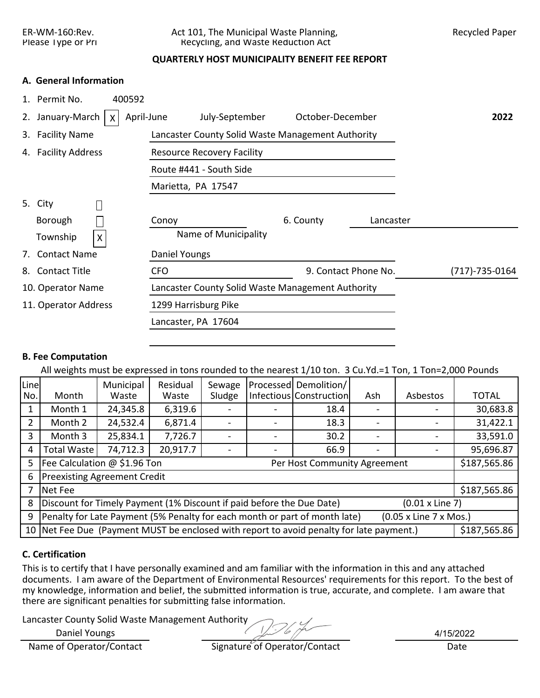ER-WM-160:Rev. Act 101, The Municipal Waste Planning, Recycled Paper Please Type or Pri Recycling, and Waste Reduction Act

# **QUARTERLY HOST MUNICIPALITY BENEFIT FEE REPORT**

# **A. General Information**

| 400592<br>1. Permit No.             |                                                   |                      |           |                |
|-------------------------------------|---------------------------------------------------|----------------------|-----------|----------------|
| 2. January-March<br>April-June<br>X | July-September                                    | October-December     |           | 2022           |
| 3. Facility Name                    | Lancaster County Solid Waste Management Authority |                      |           |                |
| 4. Facility Address                 | <b>Resource Recovery Facility</b>                 |                      |           |                |
|                                     | Route #441 - South Side                           |                      |           |                |
|                                     | Marietta, PA 17547                                |                      |           |                |
| 5. City                             |                                                   |                      |           |                |
| Borough                             | Conoy                                             | 6. County            | Lancaster |                |
| Township<br>Χ                       | Name of Municipality                              |                      |           |                |
| 7. Contact Name                     | Daniel Youngs                                     |                      |           |                |
| 8. Contact Title                    | <b>CFO</b>                                        | 9. Contact Phone No. |           | (717)-735-0164 |
| 10. Operator Name                   | Lancaster County Solid Waste Management Authority |                      |           |                |
| 11. Operator Address                | 1299 Harrisburg Pike                              |                      |           |                |
|                                     | Lancaster, PA 17604                               |                      |           |                |
|                                     |                                                   |                      |           |                |

# **B. Fee Computation**

All weights must be expressed in tons rounded to the nearest 1/10 ton. 3 Cu.Yd.=1 Ton, 1 Ton=2,000 Pounds

| Line |                                                                                                          | Municipal                               | Residual | Sewage |  | Processed Demolition/        |     |          |              |  |  |  |  |
|------|----------------------------------------------------------------------------------------------------------|-----------------------------------------|----------|--------|--|------------------------------|-----|----------|--------------|--|--|--|--|
| No.  | Month                                                                                                    | Waste                                   | Waste    | Sludge |  | Infectious Construction      | Ash | Asbestos | <b>TOTAL</b> |  |  |  |  |
|      | Month 1                                                                                                  | 24,345.8<br>6,319.6<br>18.4             |          |        |  |                              |     |          | 30,683.8     |  |  |  |  |
|      | Month 2                                                                                                  | 24,532.4                                | 6,871.4  |        |  | 18.3                         |     |          | 31,422.1     |  |  |  |  |
| 3    | Month 3                                                                                                  | 33,591.0<br>25,834.1<br>7,726.7<br>30.2 |          |        |  |                              |     |          |              |  |  |  |  |
| 4    | 74,712.3<br>95,696.87<br>20,917.7<br><b>Total Waste</b><br>66.9                                          |                                         |          |        |  |                              |     |          |              |  |  |  |  |
| 5    | Fee Calculation @ \$1.96 Ton                                                                             |                                         |          |        |  | Per Host Community Agreement |     |          | \$187,565.86 |  |  |  |  |
| 6    | <b>Preexisting Agreement Credit</b>                                                                      |                                         |          |        |  |                              |     |          |              |  |  |  |  |
|      | Net Fee                                                                                                  |                                         |          |        |  |                              |     |          | \$187,565.86 |  |  |  |  |
| 8    | Discount for Timely Payment (1% Discount if paid before the Due Date)<br>$(0.01 \times$ Line 7)          |                                         |          |        |  |                              |     |          |              |  |  |  |  |
| 9    | Penalty for Late Payment (5% Penalty for each month or part of month late)<br>(0.05 x Line 7 x Mos.)     |                                         |          |        |  |                              |     |          |              |  |  |  |  |
|      | 10 Net Fee Due (Payment MUST be enclosed with report to avoid penalty for late payment.)<br>\$187,565.86 |                                         |          |        |  |                              |     |          |              |  |  |  |  |

# **C. Certification**

This is to certify that I have personally examined and am familiar with the information in this and any attached documents. I am aware of the Department of Environmental Resources' requirements for this report. To the best of my knowledge, information and belief, the submitted information is true, accurate, and complete. I am aware that there are significant penalties for submitting false information.

Lancaster County Solid Waste Management Authority

Daniel Youngs

4/15/2022

Name of Operator/Contact Signature of Operator/Contact Date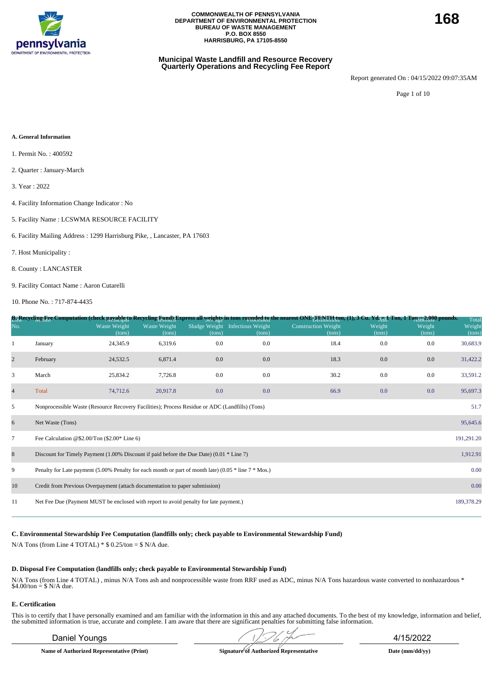

# **Municipal Waste Landfill and Resource Recovery Quarterly Operations and Recycling Fee Report**

Report generated On : 04/15/2022 09:07:35AM

Page 1 of 10

#### **A. General Information**

- 1. Permit No. : 400592
- 2. Quarter : January-March
- 3. Year : 2022
- 4. Facility Information Change Indicator : No
- 5. Facility Name : LCSWMA RESOURCE FACILITY
- 6. Facility Mailing Address : 1299 Harrisburg Pike, , Lancaster, PA 17603
- 7. Host Municipality :
- 8. County : LANCASTER
- 9. Facility Contact Name : Aaron Cutarelli

10. Phone No. : 717-874-4435

|                |                                                                                                          |                               |                        |        |                                           | B <sub>11</sub> Recycling Fee Computation (check payable to Recycling Eynd) Express all <u>weights</u> in tons rounded to mearest ONE TENTH fon, (1), 3 Cu. Yd <sub>AUI</sub> Ton, 1 Ton 52 Red to ownds. |                  |                  | Total            |
|----------------|----------------------------------------------------------------------------------------------------------|-------------------------------|------------------------|--------|-------------------------------------------|-----------------------------------------------------------------------------------------------------------------------------------------------------------------------------------------------------------|------------------|------------------|------------------|
| No.            |                                                                                                          | <b>Waste Weight</b><br>(tons) | Waste Weight<br>(tons) | (tons) | Sludge Weight Infectious Weight<br>(tons) | <b>Construction Weight</b><br>(tons)                                                                                                                                                                      | Weight<br>(tons) | Weight<br>(tons) | Weight<br>(tons) |
| 1              | January                                                                                                  | 24,345.9                      | 6,319.6                | 0.0    | 0.0                                       | 18.4                                                                                                                                                                                                      | 0.0              | 0.0              | 30,683.9         |
| $\overline{2}$ | February                                                                                                 | 24,532.5                      | 6,871.4                | 0.0    | 0.0                                       | 18.3                                                                                                                                                                                                      | 0.0              | 0.0              | 31,422.2         |
| 3              | March                                                                                                    | 25,834.2                      | 7,726.8                | 0.0    | 0.0                                       | 30.2                                                                                                                                                                                                      | 0.0              | 0.0              | 33,591.2         |
| $\overline{4}$ | Total                                                                                                    | 74,712.6                      | 20,917.8               | 0.0    | 0.0                                       | 66.9                                                                                                                                                                                                      | 0.0              | 0.0              | 95,697.3         |
| 5              | Nonprocessible Waste (Resource Recovery Facilities); Process Residue or ADC (Landfills) (Tons)           |                               |                        |        |                                           |                                                                                                                                                                                                           |                  |                  | 51.7             |
| 6              | Net Waste (Tons)                                                                                         |                               |                        |        |                                           |                                                                                                                                                                                                           |                  |                  | 95,645.6         |
| $\tau$         | Fee Calculation @\$2.00/Ton $(\$2.00*$ Line 6)                                                           |                               |                        |        |                                           |                                                                                                                                                                                                           |                  |                  | 191,291.20       |
| 8              | Discount for Timely Payment $(1.00\%$ Discount if paid before the Due Date) $(0.01 * Line 7)$            |                               |                        |        |                                           |                                                                                                                                                                                                           |                  |                  | 1,912.91         |
| 9              | Penalty for Late payment (5.00% Penalty for each month or part of month late) (0.05 $*$ line 7 $*$ Mos.) |                               |                        |        |                                           |                                                                                                                                                                                                           |                  |                  | 0.00             |
| 10             | Credit from Previous Overpayment (attach documentation to paper submission)                              |                               |                        |        |                                           |                                                                                                                                                                                                           |                  |                  | 0.00             |
| 11             | Net Fee Due (Payment MUST be enclosed with report to avoid penalty for late payment.)                    |                               |                        |        |                                           |                                                                                                                                                                                                           |                  |                  | 189,378.29       |
|                |                                                                                                          |                               |                        |        |                                           |                                                                                                                                                                                                           |                  |                  |                  |

**C. Environmental Stewardship Fee Computation (landfills only; check payable to Environmental Stewardship Fund)**

N/A Tons (from Line 4 TOTAL)  $*$  \$ 0.25/ton = \$ N/A due.

#### **D. Disposal Fee Computation (landfills only; check payable to Environmental Stewardship Fund)**

N/A Tons (from Line 4 TOTAL) , minus N/A Tons ash and nonprocessible waste from RRF used as ADC, minus N/A Tons hazardous waste converted to nonhazardous \* \$4.00/ton = \$ N/A due.

## **E. Certification**

This is to certify that I have personally examined and am familiar with the information in this and any attached documents. To the best of my knowledge, information and belief, the submitted information is true, accurate a

**Name of Authorized Representative (Print) Signature of Authorized Representative Date (mm/dd/yy)**

Daniel Youngs 4/15/2022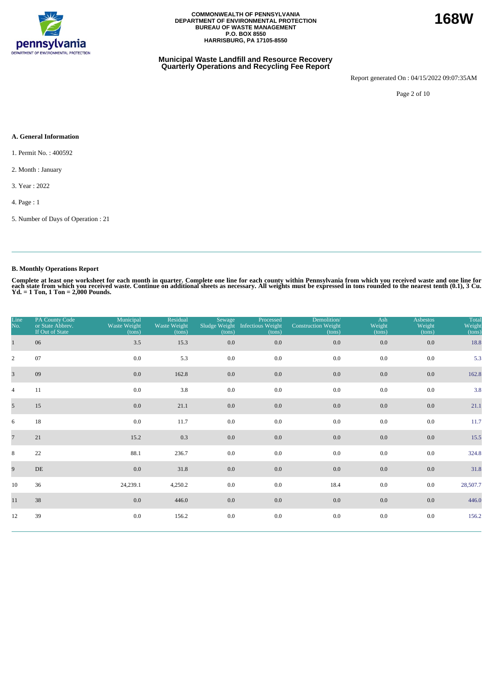

## **Municipal Waste Landfill and Resource Recovery Quarterly Operations and Recycling Fee Report**

Report generated On : 04/15/2022 09:07:35AM

Page 2 of 10

# **A. General Information**

- 1. Permit No. : 400592
- 2. Month : January
- 3. Year : 2022
- 4. Page : 1
- 5. Number of Days of Operation : 21

# **B. Monthly Operations Report**

Complete at least one worksheet for each month in quarter. Complete one line for each county within Pennsylvania from which you received waste and one line for<br>each state from which you received waste. Continue on addition

| Line<br>No.     | PA County Code<br>or State Abbrev.<br>If Out of State | Municipal<br>Waste Weight<br>(tons) | Residual<br>Waste Weight<br>(tons) | Sewage<br>(tons) | Processed<br>Sludge Weight Infectious Weight<br>(tons) | Demolition/<br><b>Construction Weight</b><br>(tons) | Ash<br>Weight<br>(tons) | <b>Asbestos</b><br>Weight<br>(tons) | Total<br>Weight<br>(tons) |
|-----------------|-------------------------------------------------------|-------------------------------------|------------------------------------|------------------|--------------------------------------------------------|-----------------------------------------------------|-------------------------|-------------------------------------|---------------------------|
| $\mathbf{1}$    | 06                                                    | 3.5                                 | 15.3                               | 0.0              | 0.0                                                    | $0.0\,$                                             | $0.0\,$                 | 0.0                                 | 18.8                      |
| $\overline{2}$  | 07                                                    | 0.0                                 | 5.3                                | 0.0              | 0.0                                                    | 0.0                                                 | 0.0                     | 0.0                                 | 5.3                       |
| $\overline{3}$  | 09                                                    | 0.0                                 | 162.8                              | 0.0              | 0.0                                                    | $0.0\,$                                             | 0.0                     | 0.0                                 | 162.8                     |
| $\overline{4}$  | 11                                                    | 0.0                                 | 3.8                                | 0.0              | 0.0                                                    | 0.0                                                 | 0.0                     | 0.0                                 | 3.8                       |
| 5 <sup>5</sup>  | 15                                                    | 0.0                                 | 21.1                               | 0.0              | $0.0\,$                                                | 0.0                                                 | $0.0\,$                 | 0.0                                 | 21.1                      |
| 6               | 18                                                    | 0.0                                 | 11.7                               | $0.0\,$          | 0.0                                                    | 0.0                                                 | 0.0                     | 0.0                                 | 11.7                      |
| $7\overline{ }$ | 21                                                    | 15.2                                | 0.3                                | 0.0              | 0.0                                                    | 0.0                                                 | 0.0                     | 0.0                                 | 15.5                      |
| 8               | 22                                                    | 88.1                                | 236.7                              | 0.0              | 0.0                                                    | 0.0                                                 | 0.0                     | 0.0                                 | 324.8                     |
| 9               | DE                                                    | 0.0                                 | 31.8                               | 0.0              | 0.0                                                    | 0.0                                                 | 0.0                     | 0.0                                 | 31.8                      |
| 10              | 36                                                    | 24,239.1                            | 4,250.2                            | 0.0              | 0.0                                                    | 18.4                                                | $0.0\,$                 | 0.0                                 | 28,507.7                  |
| 11              | 38                                                    | 0.0                                 | 446.0                              | 0.0              | 0.0                                                    | 0.0                                                 | 0.0                     | 0.0                                 | 446.0                     |
| 12              | 39                                                    | 0.0                                 | 156.2                              | $0.0\,$          | $0.0\,$                                                | 0.0                                                 | 0.0                     | 0.0                                 | 156.2                     |

**168W**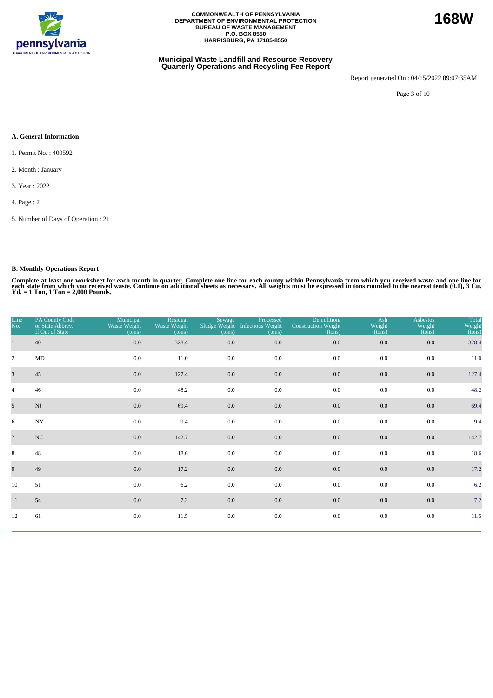

## **Municipal Waste Landfill and Resource Recovery Quarterly Operations and Recycling Fee Report**

Report generated On : 04/15/2022 09:07:35AM

**168W**

Page 3 of 10

## **A. General Information**

- 1. Permit No. : 400592
- 2. Month : January
- 3. Year : 2022
- 4. Page : 2
- 5. Number of Days of Operation : 21

# **B. Monthly Operations Report**

| Line<br>No.     | PA County Code<br>or State Abbrev.<br>If Out of State | Municipal<br>Waste Weight<br>(tons) | Residual<br>Waste Weight<br>(tons) | Sewage<br>Sludge Weight<br>(tons) | Processed<br>Infectious Weight<br>(tons) | Demolition/<br><b>Construction Weight</b><br>(tons) | Ash<br>Weight<br>(tons) | <b>Asbestos</b><br>Weight<br>(tons) | Total<br>Weight<br>(tons) |
|-----------------|-------------------------------------------------------|-------------------------------------|------------------------------------|-----------------------------------|------------------------------------------|-----------------------------------------------------|-------------------------|-------------------------------------|---------------------------|
| $\mathbf{1}$    | 40                                                    | $0.0\,$                             | 328.4                              | 0.0                               | 0.0                                      | $0.0\,$                                             | $0.0\,$                 | 0.0                                 | 328.4                     |
| $\overline{2}$  | MD                                                    | 0.0                                 | 11.0                               | 0.0                               | 0.0                                      | 0.0                                                 | 0.0                     | 0.0                                 | 11.0                      |
| $\overline{3}$  | 45                                                    | 0.0                                 | 127.4                              | 0.0                               | 0.0                                      | $0.0\,$                                             | 0.0                     | 0.0                                 | 127.4                     |
| $\overline{4}$  | 46                                                    | $0.0\,$                             | 48.2                               | 0.0                               | 0.0                                      | 0.0                                                 | 0.0                     | 0.0                                 | 48.2                      |
| $5\overline{)}$ | $\mathbf{N}\mathbf{J}$                                | 0.0                                 | 69.4                               | $0.0\,$                           | $0.0\,$                                  | 0.0                                                 | $0.0\,$                 | 0.0                                 | 69.4                      |
| 6               | $_{\mathrm{NY}}$                                      | 0.0                                 | 9.4                                | 0.0                               | 0.0                                      | 0.0                                                 | 0.0                     | 0.0                                 | 9.4                       |
| $\overline{7}$  | NC                                                    | 0.0                                 | 142.7                              | $0.0\,$                           | 0.0                                      | 0.0                                                 | 0.0                     | 0.0                                 | 142.7                     |
| 8               | 48                                                    | 0.0                                 | 18.6                               | 0.0                               | 0.0                                      | 0.0                                                 | 0.0                     | 0.0                                 | 18.6                      |
| 9               | 49                                                    | 0.0                                 | 17.2                               | 0.0                               | 0.0                                      | 0.0                                                 | 0.0                     | 0.0                                 | 17.2                      |
| 10              | 51                                                    | 0.0                                 | 6.2                                | 0.0                               | 0.0                                      | 0.0                                                 | 0.0                     | 0.0                                 | 6.2                       |
| 11              | 54                                                    | 0.0                                 | 7.2                                | $0.0\,$                           | 0.0                                      | 0.0                                                 | 0.0                     | 0.0                                 | 7.2                       |
| 12              | 61                                                    | 0.0                                 | 11.5                               | 0.0                               | $0.0\,$                                  | 0.0                                                 | 0.0                     | 0.0                                 | 11.5                      |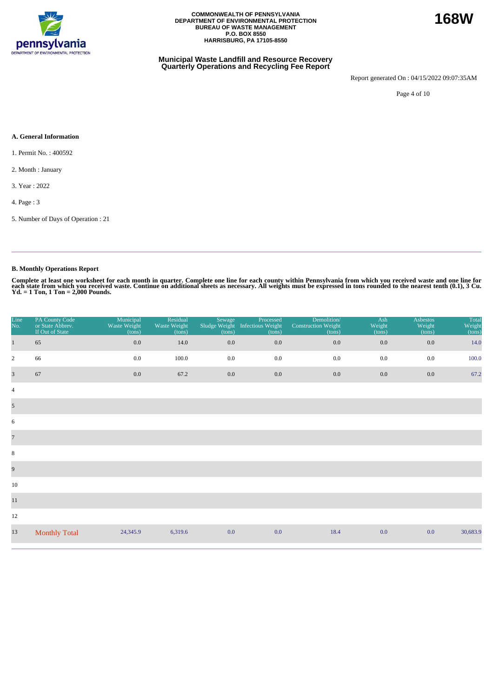

## **Municipal Waste Landfill and Resource Recovery Quarterly Operations and Recycling Fee Report**

Report generated On : 04/15/2022 09:07:35AM

Page 4 of 10

# **A. General Information**

- 1. Permit No. : 400592
- 2. Month : January
- 3. Year : 2022
- 4. Page : 3
- 5. Number of Days of Operation : 21

# **B. Monthly Operations Report**

| Line<br>No.             | PA County Code<br>or State Abbrev.<br>If Out of State | Municipal<br>Waste Weight<br>(tons) | Residual<br>Waste Weight<br>(tons) | Sewage<br>(tons) | Processed<br>Sludge Weight Infectious Weight<br>(tons) | Demolition/<br><b>Construction Weight</b><br>(tons) | Ash<br>Weight<br>(tons) | <b>Asbestos</b><br>Weight<br>(tons) | Total<br>Weight<br>(tons) |
|-------------------------|-------------------------------------------------------|-------------------------------------|------------------------------------|------------------|--------------------------------------------------------|-----------------------------------------------------|-------------------------|-------------------------------------|---------------------------|
| $\mathbf{1}$            | 65                                                    | 0.0                                 | 14.0                               | 0.0              | $0.0\,$                                                | 0.0                                                 | $0.0\,$                 | 0.0                                 | 14.0                      |
| $\overline{2}$          | 66                                                    | $0.0\,$                             | 100.0                              | 0.0              | 0.0                                                    | 0.0                                                 | 0.0                     | 0.0                                 | 100.0                     |
| $\overline{\mathbf{3}}$ | 67                                                    | 0.0                                 | 67.2                               | 0.0              | $0.0\,$                                                | 0.0                                                 | 0.0                     | 0.0                                 | 67.2                      |
| $\sqrt{4}$              |                                                       |                                     |                                    |                  |                                                        |                                                     |                         |                                     |                           |
| $\mathfrak{S}$          |                                                       |                                     |                                    |                  |                                                        |                                                     |                         |                                     |                           |
| 6                       |                                                       |                                     |                                    |                  |                                                        |                                                     |                         |                                     |                           |
| $\overline{7}$          |                                                       |                                     |                                    |                  |                                                        |                                                     |                         |                                     |                           |
| $\,8\,$                 |                                                       |                                     |                                    |                  |                                                        |                                                     |                         |                                     |                           |
| $\overline{9}$          |                                                       |                                     |                                    |                  |                                                        |                                                     |                         |                                     |                           |
| 10                      |                                                       |                                     |                                    |                  |                                                        |                                                     |                         |                                     |                           |
| 11                      |                                                       |                                     |                                    |                  |                                                        |                                                     |                         |                                     |                           |
| 12                      |                                                       |                                     |                                    |                  |                                                        |                                                     |                         |                                     |                           |
| 13                      | <b>Monthly Total</b>                                  | 24,345.9                            | 6,319.6                            | 0.0              | 0.0                                                    | 18.4                                                | 0.0                     | 0.0                                 | 30,683.9                  |

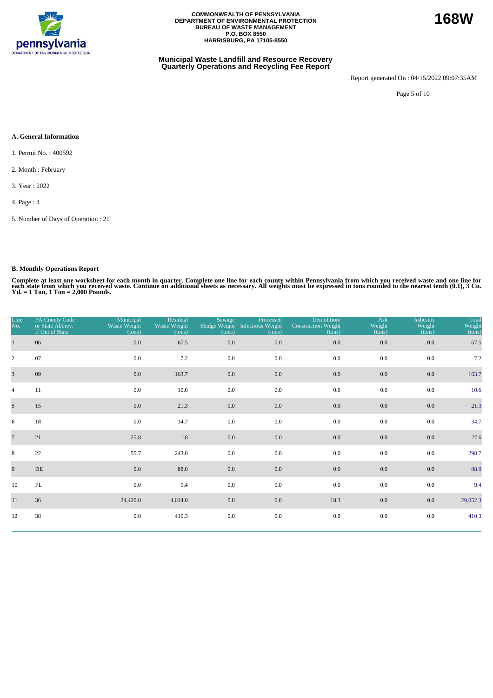

## **Municipal Waste Landfill and Resource Recovery Quarterly Operations and Recycling Fee Report**

Report generated On : 04/15/2022 09:07:35AM

Page 5 of 10

## **A. General Information**

- 1. Permit No. : 400592
- 2. Month : February
- 3. Year : 2022
- 4. Page : 4
- 5. Number of Days of Operation : 21

# **B. Monthly Operations Report**

| Line<br>No.     | PA County Code<br>or State Abbrev.<br>If Out of State | Municipal<br>Waste Weight<br>(tons) | Residual<br>Waste Weight<br>(tons) | Sewage<br>(tons) | Processed<br>Sludge Weight Infectious Weight<br>(tons) | Demolition/<br><b>Construction Weight</b><br>(tons) | Ash<br>Weight<br>(tons) | <b>Asbestos</b><br>Weight<br>(tons) | Total<br>Weight<br>(tons) |
|-----------------|-------------------------------------------------------|-------------------------------------|------------------------------------|------------------|--------------------------------------------------------|-----------------------------------------------------|-------------------------|-------------------------------------|---------------------------|
| $\mathbf{1}$    | 06                                                    | 0.0                                 | 67.5                               | 0.0              | 0.0                                                    | 0.0                                                 | 0.0                     | 0.0                                 | 67.5                      |
| $\overline{2}$  | 07                                                    | 0.0                                 | 7.2                                | 0.0              | 0.0                                                    | 0.0                                                 | 0.0                     | 0.0                                 | 7.2                       |
| $\overline{3}$  | 09                                                    | 0.0                                 | 163.7                              | 0.0              | 0.0                                                    | 0.0                                                 | 0.0                     | 0.0                                 | 163.7                     |
| $\overline{4}$  | 11                                                    | 0.0                                 | 10.6                               | 0.0              | 0.0                                                    | 0.0                                                 | 0.0                     | 0.0                                 | 10.6                      |
| 5 <sup>5</sup>  | 15                                                    | 0.0                                 | 21.3                               | 0.0              | 0.0                                                    | 0.0                                                 | $0.0\,$                 | 0.0                                 | 21.3                      |
| 6               | 18                                                    | 0.0                                 | 34.7                               | 0.0              | 0.0                                                    | 0.0                                                 | 0.0                     | 0.0                                 | 34.7                      |
| $7\overline{ }$ | 21                                                    | 25.8                                | 1.8                                | 0.0              | 0.0                                                    | 0.0                                                 | 0.0                     | 0.0                                 | 27.6                      |
| 8               | 22                                                    | 55.7                                | 243.0                              | 0.0              | 0.0                                                    | 0.0                                                 | 0.0                     | 0.0                                 | 298.7                     |
| 9               | DE                                                    | 0.0                                 | 88.0                               | 0.0              | 0.0                                                    | 0.0                                                 | 0.0                     | 0.0                                 | 88.0                      |
| 10              | $\mathbf{FL}$                                         | $0.0\,$                             | 9.4                                | 0.0              | 0.0                                                    | 0.0                                                 | $0.0\,$                 | 0.0                                 | 9.4                       |
| 11              | 36                                                    | 24,420.0                            | 4,614.0                            | 0.0              | 0.0                                                    | 18.3                                                | 0.0                     | 0.0                                 | 29,052.3                  |
| 12              | 38                                                    | 0.0                                 | 410.3                              | $0.0\,$          | $0.0\,$                                                | $0.0\,$                                             | 0.0                     | 0.0                                 | 410.3                     |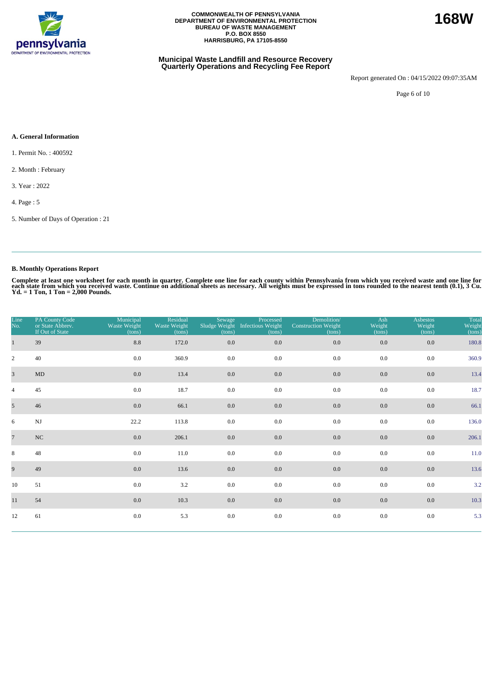

## **Municipal Waste Landfill and Resource Recovery Quarterly Operations and Recycling Fee Report**

Report generated On : 04/15/2022 09:07:35AM

**168W**

Page 6 of 10

## **A. General Information**

- 1. Permit No. : 400592
- 2. Month : February
- 3. Year : 2022
- 4. Page : 5
- 5. Number of Days of Operation : 21

# **B. Monthly Operations Report**

| Line<br>No.    | PA County Code<br>or State Abbrev.<br>If Out of State | Municipal<br>Waste Weight<br>(tons) | Residual<br>Waste Weight<br>(tons) | Sewage<br>(tons) | Processed<br>Sludge Weight Infectious Weight<br>(tons) | Demolition/<br><b>Construction Weight</b><br>(tons) | Ash<br>Weight<br>(tons) | <b>Asbestos</b><br>Weight<br>(tons) | Total<br>Weight<br>(tons) |
|----------------|-------------------------------------------------------|-------------------------------------|------------------------------------|------------------|--------------------------------------------------------|-----------------------------------------------------|-------------------------|-------------------------------------|---------------------------|
|                | 39                                                    | 8.8                                 | 172.0                              | 0.0              | $0.0\,$                                                | 0.0                                                 | 0.0                     | 0.0                                 | 180.8                     |
| $\overline{c}$ | 40                                                    | 0.0                                 | 360.9                              | 0.0              | 0.0                                                    | 0.0                                                 | 0.0                     | 0.0                                 | 360.9                     |
| $\overline{3}$ | $\mbox{MD}$                                           | 0.0                                 | 13.4                               | 0.0              | 0.0                                                    | 0.0                                                 | 0.0                     | 0.0                                 | 13.4                      |
| $\overline{4}$ | 45                                                    | 0.0                                 | 18.7                               | 0.0              | 0.0                                                    | 0.0                                                 | 0.0                     | 0.0                                 | 18.7                      |
| 5 <sup>5</sup> | 46                                                    | 0.0                                 | 66.1                               | $0.0\,$          | $0.0\,$                                                | 0.0                                                 | 0.0                     | 0.0                                 | 66.1                      |
| 6              | $\mathbf{N}\mathbf{J}$                                | 22.2                                | 113.8                              | 0.0              | 0.0                                                    | 0.0                                                 | 0.0                     | 0.0                                 | 136.0                     |
| $\overline{7}$ | NC                                                    | 0.0                                 | 206.1                              | 0.0              | $0.0\,$                                                | 0.0                                                 | 0.0                     | 0.0                                 | 206.1                     |
| 8              | 48                                                    | 0.0                                 | 11.0                               | 0.0              | 0.0                                                    | 0.0                                                 | 0.0                     | 0.0                                 | 11.0                      |
| 9              | 49                                                    | 0.0                                 | 13.6                               | 0.0              | $0.0\,$                                                | 0.0                                                 | 0.0                     | 0.0                                 | 13.6                      |
| 10             | 51                                                    | 0.0                                 | 3.2                                | 0.0              | 0.0                                                    | 0.0                                                 | 0.0                     | 0.0                                 | 3.2                       |
| 11             | 54                                                    | $0.0\,$                             | 10.3                               | 0.0              | $0.0\,$                                                | 0.0                                                 | 0.0                     | $0.0\,$                             | 10.3                      |
| 12             | 61                                                    | $0.0\,$                             | 5.3                                | $0.0\,$          | 0.0                                                    | 0.0                                                 | 0.0                     | $0.0\,$                             | 5.3                       |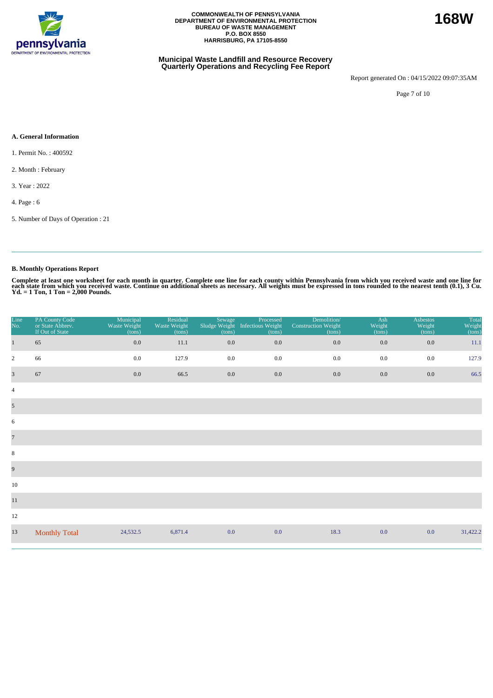

## **Municipal Waste Landfill and Resource Recovery Quarterly Operations and Recycling Fee Report**

Report generated On : 04/15/2022 09:07:35AM

Page 7 of 10

# **A. General Information**

- 1. Permit No. : 400592
- 2. Month : February
- 3. Year : 2022
- 4. Page : 6
- 5. Number of Days of Operation : 21

# **B. Monthly Operations Report**

| Line<br>No.             | PA County Code<br>or State Abbrev.<br>If Out of State | Municipal<br>Waste Weight<br>(tons) | Residual<br>Waste Weight<br>(tons) | Sewage<br>Sludge Weight<br>(tons) | Processed<br><b>Infectious Weight</b><br>(tons) | Demolition/<br><b>Construction Weight</b><br>(tons) | Ash<br>Weight<br>(tons) | <b>Asbestos</b><br>Weight<br>(tons) | Total<br>Weight<br>(tons) |
|-------------------------|-------------------------------------------------------|-------------------------------------|------------------------------------|-----------------------------------|-------------------------------------------------|-----------------------------------------------------|-------------------------|-------------------------------------|---------------------------|
| $\mathbf{1}$            | 65                                                    | 0.0                                 | 11.1                               | 0.0                               | $0.0\,$                                         | 0.0                                                 | $0.0\,$                 | 0.0                                 | 11.1                      |
| $\overline{2}$          | 66                                                    | 0.0                                 | 127.9                              | 0.0                               | 0.0                                             | 0.0                                                 | 0.0                     | 0.0                                 | 127.9                     |
| $\overline{\mathbf{3}}$ | 67                                                    | 0.0                                 | 66.5                               | 0.0                               | $0.0\,$                                         | 0.0                                                 | 0.0                     | 0.0                                 | 66.5                      |
| $\overline{4}$          |                                                       |                                     |                                    |                                   |                                                 |                                                     |                         |                                     |                           |
| $\mathfrak{S}$          |                                                       |                                     |                                    |                                   |                                                 |                                                     |                         |                                     |                           |
| 6                       |                                                       |                                     |                                    |                                   |                                                 |                                                     |                         |                                     |                           |
| $\overline{7}$          |                                                       |                                     |                                    |                                   |                                                 |                                                     |                         |                                     |                           |
| $\,8\,$                 |                                                       |                                     |                                    |                                   |                                                 |                                                     |                         |                                     |                           |
| 9                       |                                                       |                                     |                                    |                                   |                                                 |                                                     |                         |                                     |                           |
| 10                      |                                                       |                                     |                                    |                                   |                                                 |                                                     |                         |                                     |                           |
| $11\,$                  |                                                       |                                     |                                    |                                   |                                                 |                                                     |                         |                                     |                           |
| 12                      |                                                       |                                     |                                    |                                   |                                                 |                                                     |                         |                                     |                           |
| 13                      | <b>Monthly Total</b>                                  | 24,532.5                            | 6,871.4                            | 0.0                               | 0.0                                             | 18.3                                                | 0.0                     | 0.0                                 | 31,422.2                  |

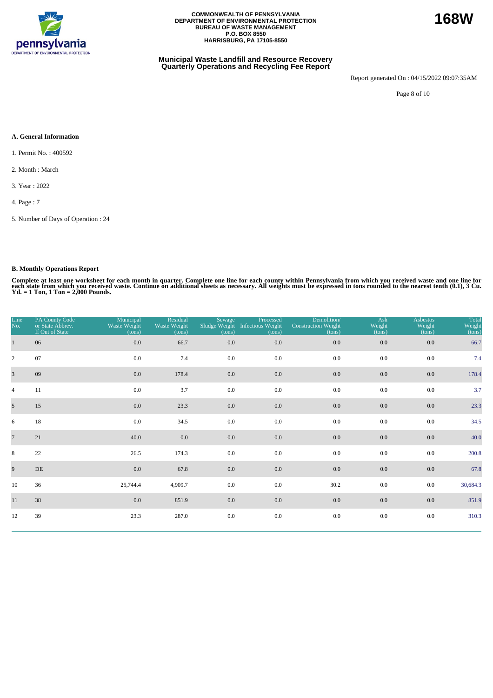

## **Municipal Waste Landfill and Resource Recovery Quarterly Operations and Recycling Fee Report**

Report generated On : 04/15/2022 09:07:35AM

**168W**

Page 8 of 10

## **A. General Information**

1. Permit No. : 400592

2. Month : March

3. Year : 2022

4. Page : 7

5. Number of Days of Operation : 24

# **B. Monthly Operations Report**

| Line<br>No.     | PA County Code<br>or State Abbrev.<br>If Out of State | Municipal<br>Waste Weight<br>(tons) | Residual<br>Waste Weight<br>(tons) | Sewage<br>(tons) | Processed<br>Sludge Weight Infectious Weight<br>(tons) | Demolition/<br><b>Construction Weight</b><br>(tons) | Ash<br>Weight<br>(tons) | <b>Asbestos</b><br>Weight<br>(tons) | Total<br>Weight<br>(tons) |
|-----------------|-------------------------------------------------------|-------------------------------------|------------------------------------|------------------|--------------------------------------------------------|-----------------------------------------------------|-------------------------|-------------------------------------|---------------------------|
| $\mathbf{1}$    | 06                                                    | 0.0                                 | 66.7                               | 0.0              | 0.0                                                    | 0.0                                                 | 0.0                     | 0.0                                 | 66.7                      |
| $\overline{2}$  | 07                                                    | 0.0                                 | 7.4                                | 0.0              | 0.0                                                    | 0.0                                                 | 0.0                     | 0.0                                 | 7.4                       |
| $\overline{3}$  | 09                                                    | 0.0                                 | 178.4                              | 0.0              | 0.0                                                    | 0.0                                                 | 0.0                     | 0.0                                 | 178.4                     |
| $\overline{4}$  | 11                                                    | 0.0                                 | 3.7                                | 0.0              | 0.0                                                    | 0.0                                                 | 0.0                     | 0.0                                 | 3.7                       |
| 5 <sup>5</sup>  | 15                                                    | 0.0                                 | 23.3                               | 0.0              | 0.0                                                    | 0.0                                                 | $0.0\,$                 | 0.0                                 | 23.3                      |
| 6               | 18                                                    | 0.0                                 | 34.5                               | 0.0              | 0.0                                                    | 0.0                                                 | 0.0                     | 0.0                                 | 34.5                      |
| $7\overline{ }$ | 21                                                    | 40.0                                | 0.0                                | 0.0              | 0.0                                                    | 0.0                                                 | 0.0                     | 0.0                                 | 40.0                      |
| 8               | 22                                                    | 26.5                                | 174.3                              | 0.0              | 0.0                                                    | 0.0                                                 | 0.0                     | 0.0                                 | 200.8                     |
| 9               | $\rm DE$                                              | 0.0                                 | 67.8                               | 0.0              | 0.0                                                    | 0.0                                                 | 0.0                     | 0.0                                 | 67.8                      |
| 10              | 36                                                    | 25,744.4                            | 4,909.7                            | 0.0              | 0.0                                                    | 30.2                                                | $0.0\,$                 | 0.0                                 | 30,684.3                  |
| 11              | 38                                                    | 0.0                                 | 851.9                              | 0.0              | 0.0                                                    | $0.0\,$                                             | 0.0                     | 0.0                                 | 851.9                     |
| 12              | 39                                                    | 23.3                                | 287.0                              | $0.0\,$          | $0.0\,$                                                | 0.0                                                 | 0.0                     | 0.0                                 | 310.3                     |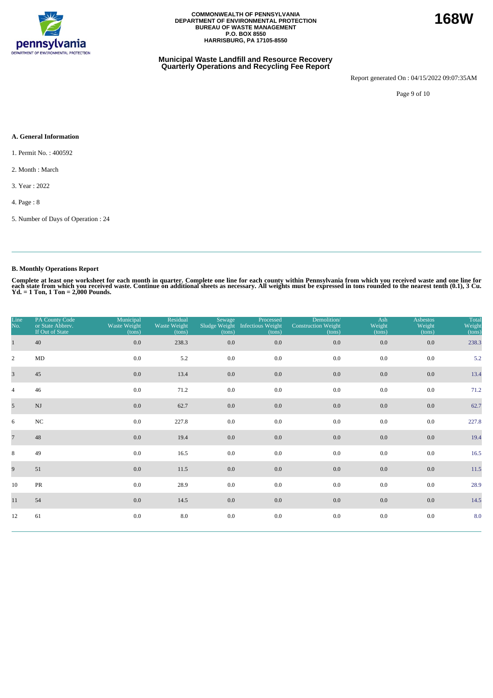

## **Municipal Waste Landfill and Resource Recovery Quarterly Operations and Recycling Fee Report**

Report generated On : 04/15/2022 09:07:35AM

**168W**

Page 9 of 10

## **A. General Information**

1. Permit No. : 400592

2. Month : March

3. Year : 2022

4. Page : 8

5. Number of Days of Operation : 24

# **B. Monthly Operations Report**

| Line<br>No.    | PA County Code<br>or State Abbrev.<br>If Out of State | Municipal<br>Waste Weight<br>(tons) | Residual<br>Waste Weight<br>(tons) | Sewage<br>(tons) | Processed<br>Sludge Weight Infectious Weight<br>(tons) | Demolition/<br><b>Construction Weight</b><br>(tons) | Ash<br>Weight<br>(tons) | <b>Asbestos</b><br>Weight<br>(tons) | Total<br>Weight<br>(tons) |
|----------------|-------------------------------------------------------|-------------------------------------|------------------------------------|------------------|--------------------------------------------------------|-----------------------------------------------------|-------------------------|-------------------------------------|---------------------------|
| $\mathbf{1}$   | 40                                                    | 0.0                                 | 238.3                              | $0.0\,$          | 0.0                                                    | $0.0\,$                                             | 0.0                     | $0.0\,$                             | 238.3                     |
| $\overline{2}$ | $\rm MD$                                              | $0.0\,$                             | 5.2                                | 0.0              | 0.0                                                    | $0.0\,$                                             | 0.0                     | 0.0                                 | 5.2                       |
| $\overline{3}$ | 45                                                    | 0.0                                 | 13.4                               | $0.0\,$          | 0.0                                                    | 0.0                                                 | 0.0                     | 0.0                                 | 13.4                      |
| $\overline{4}$ | 46                                                    | $0.0\,$                             | 71.2                               | 0.0              | 0.0                                                    | 0.0                                                 | 0.0                     | 0.0                                 | 71.2                      |
| 5 <sup>5</sup> | $\mathbf{N}\mathbf{J}$                                | 0.0                                 | 62.7                               | $0.0\,$          | 0.0                                                    | 0.0                                                 | 0.0                     | 0.0                                 | 62.7                      |
| 6              | $_{\rm NC}$                                           | 0.0                                 | 227.8                              | 0.0              | 0.0                                                    | 0.0                                                 | 0.0                     | 0.0                                 | 227.8                     |
| $\overline{7}$ | 48                                                    | 0.0                                 | 19.4                               | $0.0\,$          | 0.0                                                    | 0.0                                                 | 0.0                     | 0.0                                 | 19.4                      |
| 8              | 49                                                    | $0.0\,$                             | 16.5                               | 0.0              | 0.0                                                    | 0.0                                                 | 0.0                     | 0.0                                 | 16.5                      |
| 9              | 51                                                    | 0.0                                 | 11.5                               | $0.0\,$          | 0.0                                                    | 0.0                                                 | 0.0                     | 0.0                                 | 11.5                      |
| 10             | PR                                                    | $0.0\,$                             | 28.9                               | 0.0              | 0.0                                                    | 0.0                                                 | 0.0                     | 0.0                                 | 28.9                      |
| 11             | 54                                                    | 0.0                                 | 14.5                               | $0.0\,$          | 0.0                                                    | 0.0                                                 | 0.0                     | 0.0                                 | 14.5                      |
| 12             | 61                                                    | 0.0                                 | 8.0                                | 0.0              | 0.0                                                    | $0.0\,$                                             | 0.0                     | 0.0                                 | 8.0                       |